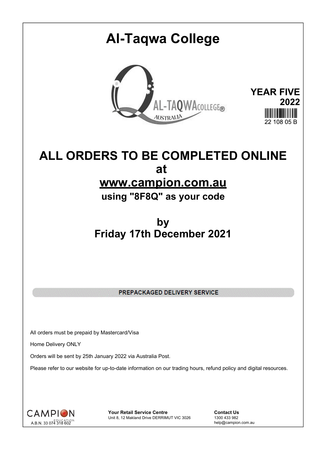## **Al-Taqwa College YEAR FIVE** AL-TAQWACOLLEGE® **2022 AUSTRALIA** 22 108 05 B

## **ALL ORDERS TO BE COMPLETED ONLINE at www.campion.com.au**

**using "8F8Q" as your code**

## **by Friday 17th December 2021**

PREPACKAGED DELIVERY SERVICE

All orders must be prepaid by Mastercard/Visa

Home Delivery ONLY

Orders will be sent by 25th January 2022 via Australia Post.

Please refer to our website for up-to-date information on our trading hours, refund policy and digital resources.



**Your Retail Service Centre Contact Us**<br>
Unit 8, 12 Makland Drive DERRIMUT VIC 3026
1300 433 982 Unit 8, 12 Makland Drive DERRIMUT VIC 3026

help@campion.com.au